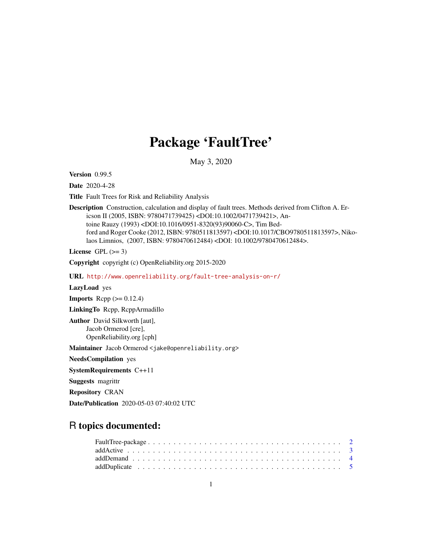# Package 'FaultTree'

May 3, 2020

Version 0.99.5

Date 2020-4-28

Title Fault Trees for Risk and Reliability Analysis

Description Construction, calculation and display of fault trees. Methods derived from Clifton A. Ericson II (2005, ISBN: 9780471739425) <DOI:10.1002/0471739421>, Antoine Rauzy (1993) <DOI:10.1016/0951-8320(93)90060-C>, Tim Bedford and Roger Cooke (2012, ISBN: 9780511813597) <DOI:10.1017/CBO9780511813597>, Nikolaos Limnios, (2007, ISBN: 9780470612484) <DOI: 10.1002/9780470612484>.

License GPL  $(>= 3)$ 

Copyright copyright (c) OpenReliability.org 2015-2020

URL <http://www.openreliability.org/fault-tree-analysis-on-r/>

LazyLoad yes

**Imports** Rcpp  $(>= 0.12.4)$ 

LinkingTo Rcpp, RcppArmadillo

Author David Silkworth [aut], Jacob Ormerod [cre], OpenReliability.org [cph]

Maintainer Jacob Ormerod <jake@openreliability.org>

NeedsCompilation yes

SystemRequirements C++11

Suggests magrittr

Repository CRAN

Date/Publication 2020-05-03 07:40:02 UTC

# R topics documented: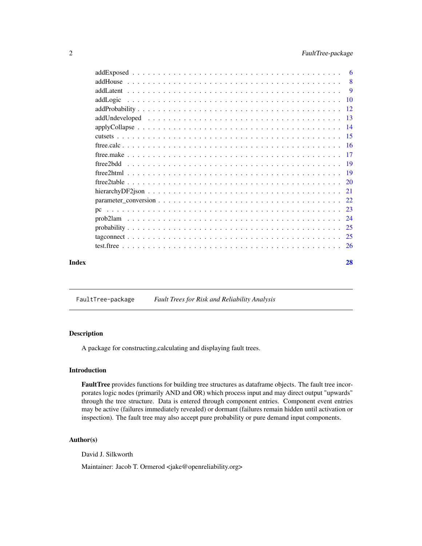<span id="page-1-0"></span>

|       | - 9 |
|-------|-----|
|       |     |
|       |     |
|       |     |
|       |     |
|       |     |
|       |     |
|       |     |
|       |     |
|       |     |
|       |     |
|       |     |
|       |     |
|       |     |
|       |     |
|       |     |
|       |     |
|       |     |
| Index | 28  |

FaultTree-package *Fault Trees for Risk and Reliability Analysis*

# Description

A package for constructing,calculating and displaying fault trees.

# Introduction

FaultTree provides functions for building tree structures as dataframe objects. The fault tree incorporates logic nodes (primarily AND and OR) which process input and may direct output "upwards" through the tree structure. Data is entered through component entries. Component event entries may be active (failures immediately revealed) or dormant (failures remain hidden until activation or inspection). The fault tree may also accept pure probability or pure demand input components.

# Author(s)

David J. Silkworth

Maintainer: Jacob T. Ormerod <jake@openreliability.org>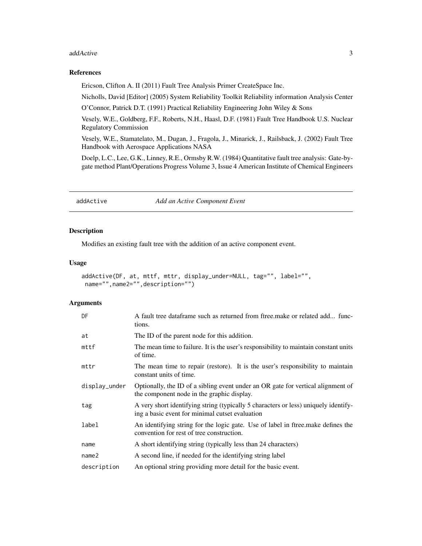#### <span id="page-2-0"></span>addActive 3

#### References

Ericson, Clifton A. II (2011) Fault Tree Analysis Primer CreateSpace Inc.

Nicholls, David [Editor] (2005) System Reliability Toolkit Reliability information Analysis Center O'Connor, Patrick D.T. (1991) Practical Reliability Engineering John Wiley & Sons

Vesely, W.E., Goldberg, F.F., Roberts, N.H., Haasl, D.F. (1981) Fault Tree Handbook U.S. Nuclear Regulatory Commission

Vesely, W.E., Stamatelato, M., Dugan, J., Fragola, J., Minarick, J., Railsback, J. (2002) Fault Tree Handbook with Aerospace Applications NASA

Doelp, L.C., Lee, G.K., Linney, R.E., Ormsby R.W. (1984) Quantitative fault tree analysis: Gate-bygate method Plant/Operations Progress Volume 3, Issue 4 American Institute of Chemical Engineers

addActive *Add an Active Component Event*

# Description

Modifies an existing fault tree with the addition of an active component event.

#### Usage

```
addActive(DF, at, mttf, mttr, display_under=NULL, tag="", label="",
name="",name2="",description="")
```

| DF                | A fault tree dataframe such as returned from ftree make or related add func-<br>tions.                                                 |
|-------------------|----------------------------------------------------------------------------------------------------------------------------------------|
| at                | The ID of the parent node for this addition.                                                                                           |
| $m$ ttf           | The mean time to failure. It is the user's responsibility to maintain constant units<br>of time.                                       |
| mttr              | The mean time to repair (restore). It is the user's responsibility to maintain<br>constant units of time.                              |
| display_under     | Optionally, the ID of a sibling event under an OR gate for vertical alignment of<br>the component node in the graphic display.         |
| tag               | A very short identifying string (typically 5 characters or less) uniquely identify-<br>ing a basic event for minimal cutset evaluation |
| label             | An identifying string for the logic gate. Use of label in fire emake defines the<br>convention for rest of tree construction.          |
| name              | A short identifying string (typically less than 24 characters)                                                                         |
| name <sub>2</sub> | A second line, if needed for the identifying string label                                                                              |
| description       | An optional string providing more detail for the basic event.                                                                          |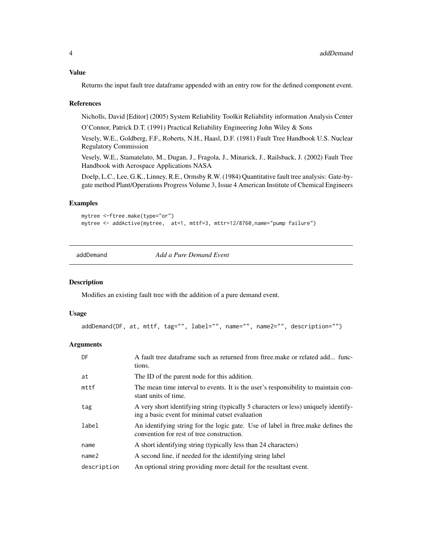# <span id="page-3-0"></span>Value

Returns the input fault tree dataframe appended with an entry row for the defined component event.

#### References

Nicholls, David [Editor] (2005) System Reliability Toolkit Reliability information Analysis Center

O'Connor, Patrick D.T. (1991) Practical Reliability Engineering John Wiley & Sons

Vesely, W.E., Goldberg, F.F., Roberts, N.H., Haasl, D.F. (1981) Fault Tree Handbook U.S. Nuclear Regulatory Commission

Vesely, W.E., Stamatelato, M., Dugan, J., Fragola, J., Minarick, J., Railsback, J. (2002) Fault Tree Handbook with Aerospace Applications NASA

Doelp, L.C., Lee, G.K., Linney, R.E., Ormsby R.W. (1984) Quantitative fault tree analysis: Gate-bygate method Plant/Operations Progress Volume 3, Issue 4 American Institute of Chemical Engineers

#### Examples

```
mytree <-ftree.make(type="or")
mytree <- addActive(mytree, at=1, mttf=3, mttr=12/8760,name="pump failure")
```
addDemand *Add a Pure Demand Event*

#### Description

Modifies an existing fault tree with the addition of a pure demand event.

#### Usage

```
addDemand(DF, at, mttf, tag="", label="", name="", name2="", description="")
```

| DF                | A fault tree dataframe such as returned from ftree make or related add func-<br>tions.                                                 |
|-------------------|----------------------------------------------------------------------------------------------------------------------------------------|
| at                | The ID of the parent node for this addition.                                                                                           |
| mttf              | The mean time interval to events. It is the user's responsibility to maintain con-<br>stant units of time.                             |
| tag               | A very short identifying string (typically 5 characters or less) uniquely identify-<br>ing a basic event for minimal cutset evaluation |
| label             | An identifying string for the logic gate. Use of label in firee make defines the<br>convention for rest of tree construction.          |
| name              | A short identifying string (typically less than 24 characters)                                                                         |
| name <sub>2</sub> | A second line, if needed for the identifying string label                                                                              |
| description       | An optional string providing more detail for the resultant event.                                                                      |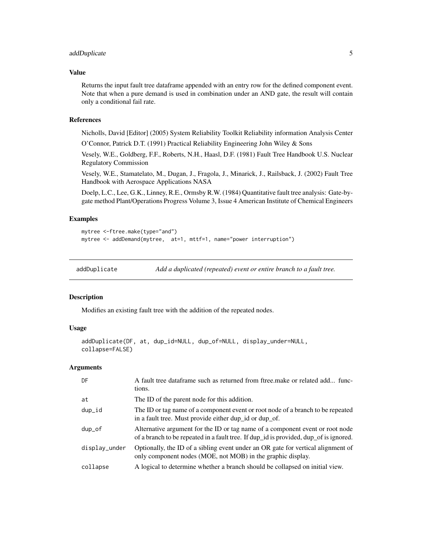# <span id="page-4-0"></span>addDuplicate 5

## Value

Returns the input fault tree dataframe appended with an entry row for the defined component event. Note that when a pure demand is used in combination under an AND gate, the result will contain only a conditional fail rate.

#### References

Nicholls, David [Editor] (2005) System Reliability Toolkit Reliability information Analysis Center

O'Connor, Patrick D.T. (1991) Practical Reliability Engineering John Wiley & Sons

Vesely, W.E., Goldberg, F.F., Roberts, N.H., Haasl, D.F. (1981) Fault Tree Handbook U.S. Nuclear Regulatory Commission

Vesely, W.E., Stamatelato, M., Dugan, J., Fragola, J., Minarick, J., Railsback, J. (2002) Fault Tree Handbook with Aerospace Applications NASA

Doelp, L.C., Lee, G.K., Linney, R.E., Ormsby R.W. (1984) Quantitative fault tree analysis: Gate-bygate method Plant/Operations Progress Volume 3, Issue 4 American Institute of Chemical Engineers

# Examples

```
mytree <-ftree.make(type="and")
mytree <- addDemand(mytree, at=1, mttf=1, name="power interruption")
```
addDuplicate *Add a duplicated (repeated) event or entire branch to a fault tree.*

#### Description

Modifies an existing fault tree with the addition of the repeated nodes.

# Usage

```
addDuplicate(DF, at, dup_id=NULL, dup_of=NULL, display_under=NULL,
collapse=FALSE)
```

| DF            | A fault tree dataframe such as returned from ftree make or related add func-<br>tions.                                                                                 |
|---------------|------------------------------------------------------------------------------------------------------------------------------------------------------------------------|
| at            | The ID of the parent node for this addition.                                                                                                                           |
| dup_id        | The ID or tag name of a component event or root node of a branch to be repeated<br>in a fault tree. Must provide either dup_id or dup_of.                              |
| dup_of        | Alternative argument for the ID or tag name of a component event or root node<br>of a branch to be repeated in a fault tree. If dup_id is provided, dup_of is ignored. |
| display_under | Optionally, the ID of a sibling event under an OR gate for vertical alignment of<br>only component nodes (MOE, not MOB) in the graphic display.                        |
| collapse      | A logical to determine whether a branch should be collapsed on initial view.                                                                                           |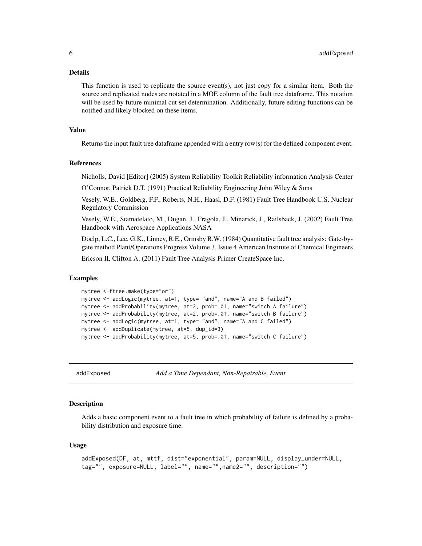#### <span id="page-5-0"></span>Details

This function is used to replicate the source event(s), not just copy for a similar item. Both the source and replicated nodes are notated in a MOE column of the fault tree dataframe. This notation will be used by future minimal cut set determination. Additionally, future editing functions can be notified and likely blocked on these items.

#### Value

Returns the input fault tree dataframe appended with a entry row(s) for the defined component event.

#### References

Nicholls, David [Editor] (2005) System Reliability Toolkit Reliability information Analysis Center

O'Connor, Patrick D.T. (1991) Practical Reliability Engineering John Wiley & Sons

Vesely, W.E., Goldberg, F.F., Roberts, N.H., Haasl, D.F. (1981) Fault Tree Handbook U.S. Nuclear Regulatory Commission

Vesely, W.E., Stamatelato, M., Dugan, J., Fragola, J., Minarick, J., Railsback, J. (2002) Fault Tree Handbook with Aerospace Applications NASA

Doelp, L.C., Lee, G.K., Linney, R.E., Ormsby R.W. (1984) Quantitative fault tree analysis: Gate-bygate method Plant/Operations Progress Volume 3, Issue 4 American Institute of Chemical Engineers

Ericson II, Clifton A. (2011) Fault Tree Analysis Primer CreateSpace Inc.

#### Examples

```
mytree <-ftree.make(type="or")
mytree <- addLogic(mytree, at=1, type= "and", name="A and B failed")
mytree <- addProbability(mytree, at=2, prob=.01, name="switch A failure")
mytree <- addProbability(mytree, at=2, prob=.01, name="switch B failure")
mytree <- addLogic(mytree, at=1, type= "and", name="A and C failed")
mytree <- addDuplicate(mytree, at=5, dup_id=3)
mytree <- addProbability(mytree, at=5, prob=.01, name="switch C failure")
```
addExposed *Add a Time Dependant, Non-Repairable, Event*

#### Description

Adds a basic component event to a fault tree in which probability of failure is defined by a probability distribution and exposure time.

#### Usage

```
addExposed(DF, at, mttf, dist="exponential", param=NULL, display_under=NULL,
tag="", exposure=NULL, label="", name="",name2="", description="")
```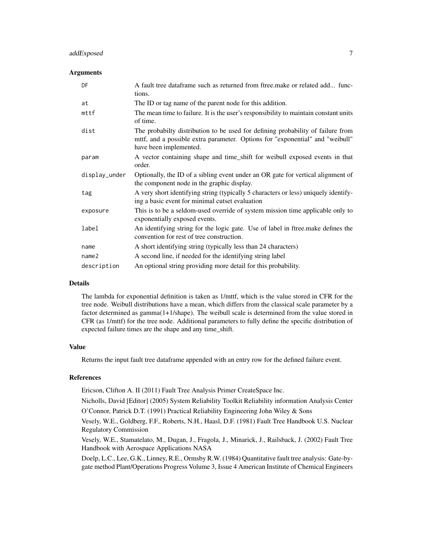# addExposed 7 7

#### **Arguments**

| DF                | A fault tree dataframe such as returned from ftree make or related add func-<br>tions.                                                                                                     |
|-------------------|--------------------------------------------------------------------------------------------------------------------------------------------------------------------------------------------|
| at                | The ID or tag name of the parent node for this addition.                                                                                                                                   |
| mttf              | The mean time to failure. It is the user's responsibility to maintain constant units<br>of time.                                                                                           |
| dist              | The probabilty distribution to be used for defining probability of failure from<br>mttf, and a possible extra parameter. Options for "exponential" and "weibull"<br>have been implemented. |
| param             | A vector containing shape and time_shift for weibull exposed events in that<br>order.                                                                                                      |
| display_under     | Optionally, the ID of a sibling event under an OR gate for vertical alignment of<br>the component node in the graphic display.                                                             |
| tag               | A very short identifying string (typically 5 characters or less) uniquely identify-<br>ing a basic event for minimal cutset evaluation                                                     |
| exposure          | This is to be a seldom-used override of system mission time applicable only to<br>exponentially exposed events.                                                                            |
| label             | An identifying string for the logic gate. Use of label in ftree make defines the<br>convention for rest of tree construction.                                                              |
| name              | A short identifying string (typically less than 24 characters)                                                                                                                             |
| name <sub>2</sub> | A second line, if needed for the identifying string label                                                                                                                                  |
| description       | An optional string providing more detail for this probability.                                                                                                                             |

# Details

The lambda for exponential definition is taken as 1/mttf, which is the value stored in CFR for the tree node. Weibull distributions have a mean, which differs from the classical scale parameter by a factor determined as gamma(1+1/shape). The weibull scale is determined from the value stored in CFR (as 1/mttf) for the tree node. Additional parameters to fully define the specific distribution of expected failure times are the shape and any time\_shift.

#### Value

Returns the input fault tree dataframe appended with an entry row for the defined failure event.

#### References

Ericson, Clifton A. II (2011) Fault Tree Analysis Primer CreateSpace Inc.

Nicholls, David [Editor] (2005) System Reliability Toolkit Reliability information Analysis Center O'Connor, Patrick D.T. (1991) Practical Reliability Engineering John Wiley & Sons

Vesely, W.E., Goldberg, F.F., Roberts, N.H., Haasl, D.F. (1981) Fault Tree Handbook U.S. Nuclear Regulatory Commission

Vesely, W.E., Stamatelato, M., Dugan, J., Fragola, J., Minarick, J., Railsback, J. (2002) Fault Tree Handbook with Aerospace Applications NASA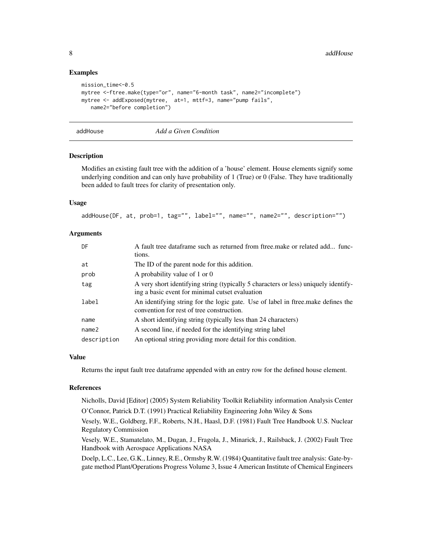```
mission_time<-0.5
mytree <-ftree.make(type="or", name="6-month task", name2="incomplete")
mytree <- addExposed(mytree, at=1, mttf=3, name="pump fails",
   name2="before completion")
```
#### addHouse *Add a Given Condition*

# Description

Modifies an existing fault tree with the addition of a 'house' element. House elements signify some underlying condition and can only have probability of 1 (True) or 0 (False. They have traditionally been added to fault trees for clarity of presentation only.

#### Usage

addHouse(DF, at, prob=1, tag="", label="", name="", name2="", description="")

# Arguments

| DF                | A fault tree dataframe such as returned from ftree make or related add func-<br>tions.                                                 |
|-------------------|----------------------------------------------------------------------------------------------------------------------------------------|
| at                | The ID of the parent node for this addition.                                                                                           |
| prob              | A probability value of 1 or 0                                                                                                          |
| tag               | A very short identifying string (typically 5 characters or less) uniquely identify-<br>ing a basic event for minimal cutset evaluation |
| label             | An identifying string for the logic gate. Use of label in ftree make defines the<br>convention for rest of tree construction.          |
| name              | A short identifying string (typically less than 24 characters)                                                                         |
| name <sub>2</sub> | A second line, if needed for the identifying string label                                                                              |
| description       | An optional string providing more detail for this condition.                                                                           |

# Value

Returns the input fault tree dataframe appended with an entry row for the defined house element.

#### References

Nicholls, David [Editor] (2005) System Reliability Toolkit Reliability information Analysis Center O'Connor, Patrick D.T. (1991) Practical Reliability Engineering John Wiley & Sons

Vesely, W.E., Goldberg, F.F., Roberts, N.H., Haasl, D.F. (1981) Fault Tree Handbook U.S. Nuclear Regulatory Commission

Vesely, W.E., Stamatelato, M., Dugan, J., Fragola, J., Minarick, J., Railsback, J. (2002) Fault Tree Handbook with Aerospace Applications NASA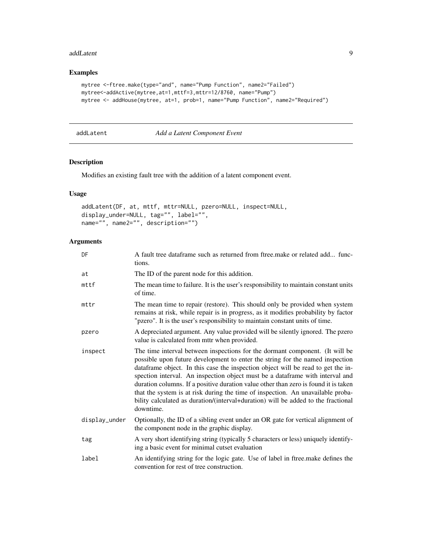#### <span id="page-8-0"></span>addLatent 9

# Examples

```
mytree <-ftree.make(type="and", name="Pump Function", name2="Failed")
mytree<-addActive(mytree,at=1,mttf=3,mttr=12/8760, name="Pump")
mytree <- addHouse(mytree, at=1, prob=1, name="Pump Function", name2="Required")
```
### addLatent *Add a Latent Component Event*

# Description

Modifies an existing fault tree with the addition of a latent component event.

# Usage

```
addLatent(DF, at, mttf, mttr=NULL, pzero=NULL, inspect=NULL,
display_under=NULL, tag="", label="",
name="", name2="", description="")
```

| DF            | A fault tree dataframe such as returned from ftree make or related add func-<br>tions.                                                                                                                                                                                                                                                                                                                                                                                                                                                                                                                         |
|---------------|----------------------------------------------------------------------------------------------------------------------------------------------------------------------------------------------------------------------------------------------------------------------------------------------------------------------------------------------------------------------------------------------------------------------------------------------------------------------------------------------------------------------------------------------------------------------------------------------------------------|
| at            | The ID of the parent node for this addition.                                                                                                                                                                                                                                                                                                                                                                                                                                                                                                                                                                   |
| mttf          | The mean time to failure. It is the user's responsibility to maintain constant units<br>of time.                                                                                                                                                                                                                                                                                                                                                                                                                                                                                                               |
| mttr          | The mean time to repair (restore). This should only be provided when system<br>remains at risk, while repair is in progress, as it modifies probability by factor<br>"pzero". It is the user's responsibility to maintain constant units of time.                                                                                                                                                                                                                                                                                                                                                              |
| pzero         | A depreciated argument. Any value provided will be silently ignored. The pzero<br>value is calculated from mttr when provided.                                                                                                                                                                                                                                                                                                                                                                                                                                                                                 |
| inspect       | The time interval between inspections for the dormant component. (It will be<br>possible upon future development to enter the string for the named inspection<br>dataframe object. In this case the inspection object will be read to get the in-<br>spection interval. An inspection object must be a dataframe with interval and<br>duration columns. If a positive duration value other than zero is found it is taken<br>that the system is at risk during the time of inspection. An unavailable proba-<br>bility calculated as duration/(interval+duration) will be added to the fractional<br>downtime. |
| display_under | Optionally, the ID of a sibling event under an OR gate for vertical alignment of<br>the component node in the graphic display.                                                                                                                                                                                                                                                                                                                                                                                                                                                                                 |
| tag           | A very short identifying string (typically 5 characters or less) uniquely identify-<br>ing a basic event for minimal cutset evaluation                                                                                                                                                                                                                                                                                                                                                                                                                                                                         |
| label         | An identifying string for the logic gate. Use of label in ftree make defines the<br>convention for rest of tree construction.                                                                                                                                                                                                                                                                                                                                                                                                                                                                                  |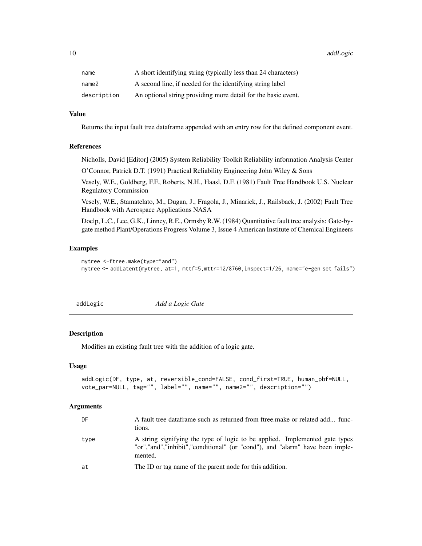<span id="page-9-0"></span>10 addLogic and the contract of the contract of the contract of the contract of the contract of the contract of the contract of the contract of the contract of the contract of the contract of the contract of the contract o

| name        | A short identifying string (typically less than 24 characters) |
|-------------|----------------------------------------------------------------|
| name2       | A second line, if needed for the identifying string label      |
| description | An optional string providing more detail for the basic event.  |

# Value

Returns the input fault tree dataframe appended with an entry row for the defined component event.

#### References

Nicholls, David [Editor] (2005) System Reliability Toolkit Reliability information Analysis Center

O'Connor, Patrick D.T. (1991) Practical Reliability Engineering John Wiley & Sons

Vesely, W.E., Goldberg, F.F., Roberts, N.H., Haasl, D.F. (1981) Fault Tree Handbook U.S. Nuclear Regulatory Commission

Vesely, W.E., Stamatelato, M., Dugan, J., Fragola, J., Minarick, J., Railsback, J. (2002) Fault Tree Handbook with Aerospace Applications NASA

Doelp, L.C., Lee, G.K., Linney, R.E., Ormsby R.W. (1984) Quantitative fault tree analysis: Gate-bygate method Plant/Operations Progress Volume 3, Issue 4 American Institute of Chemical Engineers

# Examples

```
mytree <-ftree.make(type="and")
mytree <- addLatent(mytree, at=1, mttf=5,mttr=12/8760,inspect=1/26, name="e-gen set fails")
```
addLogic *Add a Logic Gate*

# **Description**

Modifies an existing fault tree with the addition of a logic gate.

#### Usage

```
addLogic(DF, type, at, reversible_cond=FALSE, cond_first=TRUE, human_pbf=NULL,
vote_par=NULL, tag="", label="", name="", name2="", description="")
```

| DF   | A fault tree dataframe such as returned from ftree make or related add func-<br>tions.                                                                                 |
|------|------------------------------------------------------------------------------------------------------------------------------------------------------------------------|
| type | A string signifying the type of logic to be applied. Implemented gate types<br>"or","and","inhibit","conditional" (or "cond"), and "alarm" have been imple-<br>mented. |
| at   | The ID or tag name of the parent node for this addition.                                                                                                               |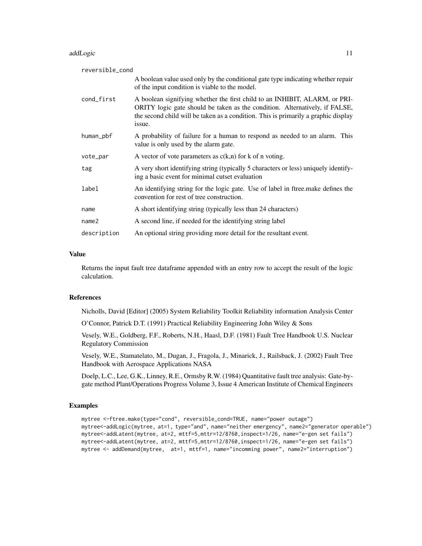#### addLogic in the contract of the contract of the contract of the contract of the contract of the contract of the contract of the contract of the contract of the contract of the contract of the contract of the contract of th

| reversible_cond   |                                                                                                                                                                                                                                                           |
|-------------------|-----------------------------------------------------------------------------------------------------------------------------------------------------------------------------------------------------------------------------------------------------------|
|                   | A boolean value used only by the conditional gate type indicating whether repair<br>of the input condition is viable to the model.                                                                                                                        |
| cond_first        | A boolean signifying whether the first child to an INHIBIT, ALARM, or PRI-<br>ORITY logic gate should be taken as the condition. Alternatively, if FALSE,<br>the second child will be taken as a condition. This is primarily a graphic display<br>issue. |
| human_pbf         | A probability of failure for a human to respond as needed to an alarm. This<br>value is only used by the alarm gate.                                                                                                                                      |
| vote_par          | A vector of vote parameters as $c(k,n)$ for k of n voting.                                                                                                                                                                                                |
| tag               | A very short identifying string (typically 5 characters or less) uniquely identify-<br>ing a basic event for minimal cutset evaluation                                                                                                                    |
| label             | An identifying string for the logic gate. Use of label in fire emake defines the<br>convention for rest of tree construction.                                                                                                                             |
| name              | A short identifying string (typically less than 24 characters)                                                                                                                                                                                            |
| name <sub>2</sub> | A second line, if needed for the identifying string label                                                                                                                                                                                                 |
| description       | An optional string providing more detail for the resultant event.                                                                                                                                                                                         |

# Value

Returns the input fault tree dataframe appended with an entry row to accept the result of the logic calculation.

# References

Nicholls, David [Editor] (2005) System Reliability Toolkit Reliability information Analysis Center

O'Connor, Patrick D.T. (1991) Practical Reliability Engineering John Wiley & Sons

Vesely, W.E., Goldberg, F.F., Roberts, N.H., Haasl, D.F. (1981) Fault Tree Handbook U.S. Nuclear Regulatory Commission

Vesely, W.E., Stamatelato, M., Dugan, J., Fragola, J., Minarick, J., Railsback, J. (2002) Fault Tree Handbook with Aerospace Applications NASA

Doelp, L.C., Lee, G.K., Linney, R.E., Ormsby R.W. (1984) Quantitative fault tree analysis: Gate-bygate method Plant/Operations Progress Volume 3, Issue 4 American Institute of Chemical Engineers

# Examples

```
mytree <-ftree.make(type="cond", reversible_cond=TRUE, name="power outage")
mytree<-addLogic(mytree, at=1, type="and", name="neither emergency", name2="generator operable")
mytree<-addLatent(mytree, at=2, mttf=5,mttr=12/8760,inspect=1/26, name="e-gen set fails")
mytree<-addLatent(mytree, at=2, mttf=5,mttr=12/8760,inspect=1/26, name="e-gen set fails")
mytree <- addDemand(mytree, at=1, mttf=1, name="incomming power", name2="interruption")
```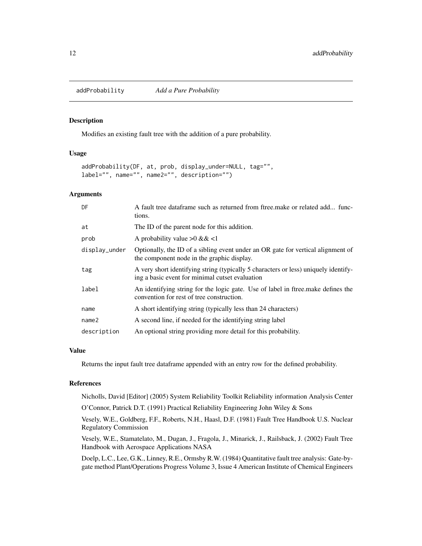<span id="page-11-0"></span>addProbability *Add a Pure Probability*

# Description

Modifies an existing fault tree with the addition of a pure probability.

#### Usage

```
addProbability(DF, at, prob, display_under=NULL, tag="",
label="", name="", name2="", description="")
```
#### Arguments

| DF                | A fault tree dataframe such as returned from ftree make or related add func-<br>tions.                                                 |
|-------------------|----------------------------------------------------------------------------------------------------------------------------------------|
| at                | The ID of the parent node for this addition.                                                                                           |
| prob              | A probability value $>0$ & & <1                                                                                                        |
| display_under     | Optionally, the ID of a sibling event under an OR gate for vertical alignment of<br>the component node in the graphic display.         |
| tag               | A very short identifying string (typically 5 characters or less) uniquely identify-<br>ing a basic event for minimal cutset evaluation |
| label             | An identifying string for the logic gate. Use of label in fire emake defines the<br>convention for rest of tree construction.          |
| name              | A short identifying string (typically less than 24 characters)                                                                         |
| name <sub>2</sub> | A second line, if needed for the identifying string label                                                                              |
| description       | An optional string providing more detail for this probability.                                                                         |

#### Value

Returns the input fault tree dataframe appended with an entry row for the defined probability.

# References

Nicholls, David [Editor] (2005) System Reliability Toolkit Reliability information Analysis Center O'Connor, Patrick D.T. (1991) Practical Reliability Engineering John Wiley & Sons

Vesely, W.E., Goldberg, F.F., Roberts, N.H., Haasl, D.F. (1981) Fault Tree Handbook U.S. Nuclear Regulatory Commission

Vesely, W.E., Stamatelato, M., Dugan, J., Fragola, J., Minarick, J., Railsback, J. (2002) Fault Tree Handbook with Aerospace Applications NASA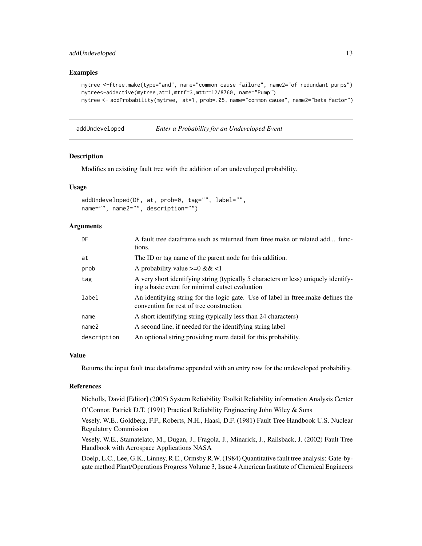# <span id="page-12-0"></span>addUndeveloped 13

# Examples

```
mytree <-ftree.make(type="and", name="common cause failure", name2="of redundant pumps")
mytree<-addActive(mytree,at=1,mttf=3,mttr=12/8760, name="Pump")
mytree <- addProbability(mytree, at=1, prob=.05, name="common cause", name2="beta factor")
```
addUndeveloped *Enter a Probability for an Undeveloped Event*

#### Description

Modifies an existing fault tree with the addition of an undeveloped probability.

# Usage

```
addUndeveloped(DF, at, prob=0, tag="", label="",
name="", name2="", description="")
```
# Arguments

| DF                | A fault tree dataframe such as returned from ftree make or related add func-<br>tions.                                                 |
|-------------------|----------------------------------------------------------------------------------------------------------------------------------------|
| at                | The ID or tag name of the parent node for this addition.                                                                               |
| prob              | A probability value $>=0 \&<1$                                                                                                         |
| tag               | A very short identifying string (typically 5 characters or less) uniquely identify-<br>ing a basic event for minimal cutset evaluation |
| label             | An identifying string for the logic gate. Use of label in ftree make defines the<br>convention for rest of tree construction.          |
| name              | A short identifying string (typically less than 24 characters)                                                                         |
| name <sub>2</sub> | A second line, if needed for the identifying string label                                                                              |
| description       | An optional string providing more detail for this probability.                                                                         |

# Value

Returns the input fault tree dataframe appended with an entry row for the undeveloped probability.

# References

Nicholls, David [Editor] (2005) System Reliability Toolkit Reliability information Analysis Center O'Connor, Patrick D.T. (1991) Practical Reliability Engineering John Wiley & Sons

Vesely, W.E., Goldberg, F.F., Roberts, N.H., Haasl, D.F. (1981) Fault Tree Handbook U.S. Nuclear Regulatory Commission

Vesely, W.E., Stamatelato, M., Dugan, J., Fragola, J., Minarick, J., Railsback, J. (2002) Fault Tree Handbook with Aerospace Applications NASA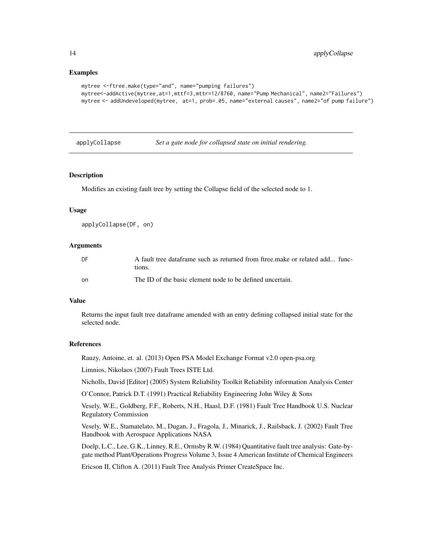```
mytree <-ftree.make(type="and", name="pumping failures")
mytree<-addActive(mytree,at=1,mttf=3,mttr=12/8760, name="Pump Mechanical", name2="Failures")
mytree <- addUndeveloped(mytree, at=1, prob=.05, name="external causes", name2="of pump failure")
```
#### applyCollapse *Set a gate node for collapsed state on initial rendering.*

# **Description**

Modifies an existing fault tree by setting the Collapse field of the selected node to 1.

#### Usage

```
applyCollapse(DF, on)
```
# Arguments

| DF  | A fault tree dataframe such as returned from free make or related add func-<br>tions. |
|-----|---------------------------------------------------------------------------------------|
| on. | The ID of the basic element node to be defined uncertain.                             |

#### Value

Returns the input fault tree dataframe amended with an entry defining collapsed initial state for the selected node.

#### References

Rauzy, Antoine, et. al. (2013) Open PSA Model Exchange Format v2.0 open-psa.org

Limnios, Nikolaos (2007) Fault Trees ISTE Ltd.

Nicholls, David [Editor] (2005) System Reliability Toolkit Reliability information Analysis Center

O'Connor, Patrick D.T. (1991) Practical Reliability Engineering John Wiley & Sons

Vesely, W.E., Goldberg, F.F., Roberts, N.H., Haasl, D.F. (1981) Fault Tree Handbook U.S. Nuclear Regulatory Commission

Vesely, W.E., Stamatelato, M., Dugan, J., Fragola, J., Minarick, J., Railsback, J. (2002) Fault Tree Handbook with Aerospace Applications NASA

Doelp, L.C., Lee, G.K., Linney, R.E., Ormsby R.W. (1984) Quantitative fault tree analysis: Gate-bygate method Plant/Operations Progress Volume 3, Issue 4 American Institute of Chemical Engineers

Ericson II, Clifton A. (2011) Fault Tree Analysis Primer CreateSpace Inc.

<span id="page-13-0"></span>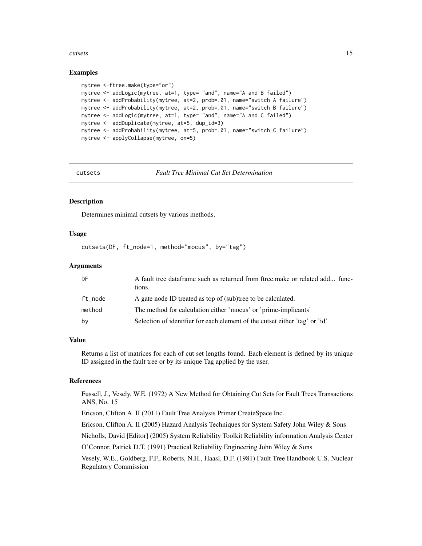#### <span id="page-14-0"></span>cutsets and the cutsets of the contract of the contract of the contract of the contract of the contract of the contract of the contract of the contract of the contract of the contract of the contract of the contract of the

#### Examples

```
mytree <-ftree.make(type="or")
mytree <- addLogic(mytree, at=1, type= "and", name="A and B failed")
mytree <- addProbability(mytree, at=2, prob=.01, name="switch A failure")
mytree <- addProbability(mytree, at=2, prob=.01, name="switch B failure")
mytree <- addLogic(mytree, at=1, type= "and", name="A and C failed")
mytree <- addDuplicate(mytree, at=5, dup_id=3)
mytree <- addProbability(mytree, at=5, prob=.01, name="switch C failure")
mytree <- applyCollapse(mytree, on=5)
```
cutsets *Fault Tree Minimal Cut Set Determination*

#### Description

Determines minimal cutsets by various methods.

#### Usage

cutsets(DF, ft\_node=1, method="mocus", by="tag")

# **Arguments**

| DF.     | A fault tree dataframe such as returned from ftree make or related add func-<br>tions. |
|---------|----------------------------------------------------------------------------------------|
| ft node | A gate node ID treated as top of (sub)tree to be calculated.                           |
| method  | The method for calculation either 'mocus' or 'prime-implicants'                        |
| by      | Selection of identifier for each element of the cutset either 'tag' or 'id'            |

# Value

Returns a list of matrices for each of cut set lengths found. Each element is defined by its unique ID assigned in the fault tree or by its unique Tag applied by the user.

# References

Fussell, J., Vesely, W.E. (1972) A New Method for Obtaining Cut Sets for Fault Trees Transactions ANS, No. 15

Ericson, Clifton A. II (2011) Fault Tree Analysis Primer CreateSpace Inc.

Ericson, Clifton A. II (2005) Hazard Analysis Techniques for System Safety John Wiley & Sons

Nicholls, David [Editor] (2005) System Reliability Toolkit Reliability information Analysis Center

O'Connor, Patrick D.T. (1991) Practical Reliability Engineering John Wiley & Sons

Vesely, W.E., Goldberg, F.F., Roberts, N.H., Haasl, D.F. (1981) Fault Tree Handbook U.S. Nuclear Regulatory Commission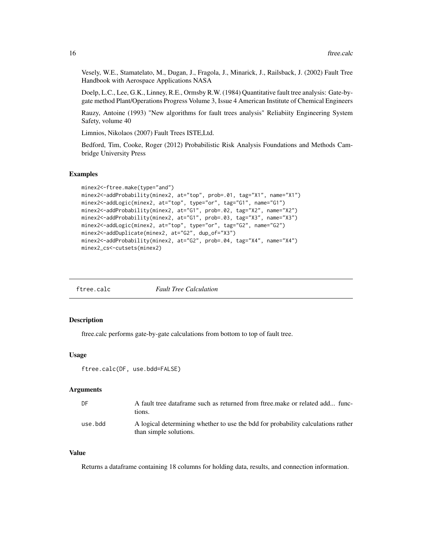<span id="page-15-0"></span>Vesely, W.E., Stamatelato, M., Dugan, J., Fragola, J., Minarick, J., Railsback, J. (2002) Fault Tree Handbook with Aerospace Applications NASA

Doelp, L.C., Lee, G.K., Linney, R.E., Ormsby R.W. (1984) Quantitative fault tree analysis: Gate-bygate method Plant/Operations Progress Volume 3, Issue 4 American Institute of Chemical Engineers

Rauzy, Antoine (1993) "New algorithms for fault trees analysis" Reliabiity Engineering System Safety, volume 40

Limnios, Nikolaos (2007) Fault Trees ISTE,Ltd.

Bedford, Tim, Cooke, Roger (2012) Probabilistic Risk Analysis Foundations and Methods Cambridge University Press

#### Examples

```
minex2<-ftree.make(type="and")
minex2<-addProbability(minex2, at="top", prob=.01, tag="X1", name="X1")
minex2<-addLogic(minex2, at="top", type="or", tag="G1", name="G1")
minex2<-addProbability(minex2, at="G1", prob=.02, tag="X2", name="X2")
minex2<-addProbability(minex2, at="G1", prob=.03, tag="X3", name="X3")
minex2<-addLogic(minex2, at="top", type="or", tag="G2", name="G2")
minex2<-addDuplicate(minex2, at="G2", dup_of="X3")
minex2<-addProbability(minex2, at="G2", prob=.04, tag="X4", name="X4")
minex2_cs<-cutsets(minex2)
```
#### Description

ftree.calc performs gate-by-gate calculations from bottom to top of fault tree.

#### Usage

```
ftree.calc(DF, use.bdd=FALSE)
```
#### Arguments

| DF.     | A fault tree dataframe such as returned from ftree make or related add func-<br>tions.                     |
|---------|------------------------------------------------------------------------------------------------------------|
| use.bdd | A logical determining whether to use the bdd for probability calculations rather<br>than simple solutions. |

#### Value

Returns a dataframe containing 18 columns for holding data, results, and connection information.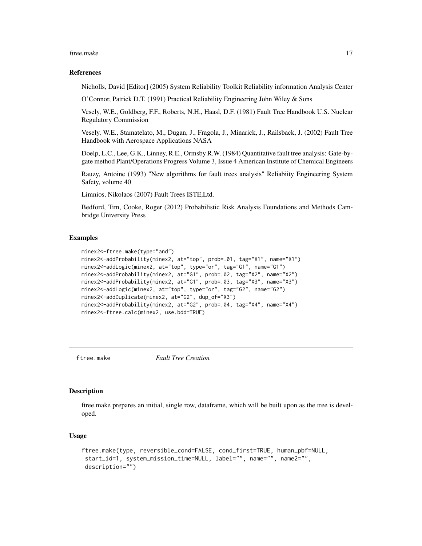#### <span id="page-16-0"></span>ftree.make 17

#### References

Nicholls, David [Editor] (2005) System Reliability Toolkit Reliability information Analysis Center

O'Connor, Patrick D.T. (1991) Practical Reliability Engineering John Wiley & Sons

Vesely, W.E., Goldberg, F.F., Roberts, N.H., Haasl, D.F. (1981) Fault Tree Handbook U.S. Nuclear Regulatory Commission

Vesely, W.E., Stamatelato, M., Dugan, J., Fragola, J., Minarick, J., Railsback, J. (2002) Fault Tree Handbook with Aerospace Applications NASA

Doelp, L.C., Lee, G.K., Linney, R.E., Ormsby R.W. (1984) Quantitative fault tree analysis: Gate-bygate method Plant/Operations Progress Volume 3, Issue 4 American Institute of Chemical Engineers

Rauzy, Antoine (1993) "New algorithms for fault trees analysis" Reliabiity Engineering System Safety, volume 40

Limnios, Nikolaos (2007) Fault Trees ISTE,Ltd.

Bedford, Tim, Cooke, Roger (2012) Probabilistic Risk Analysis Foundations and Methods Cambridge University Press

# Examples

```
minex2<-ftree.make(type="and")
minex2<-addProbability(minex2, at="top", prob=.01, tag="X1", name="X1")
minex2<-addLogic(minex2, at="top", type="or", tag="G1", name="G1")
minex2<-addProbability(minex2, at="G1", prob=.02, tag="X2", name="X2")
minex2<-addProbability(minex2, at="G1", prob=.03, tag="X3", name="X3")
minex2<-addLogic(minex2, at="top", type="or", tag="G2", name="G2")
minex2<-addDuplicate(minex2, at="G2", dup_of="X3")
minex2<-addProbability(minex2, at="G2", prob=.04, tag="X4", name="X4")
minex2<-ftree.calc(minex2, use.bdd=TRUE)
```
ftree.make *Fault Tree Creation*

#### Description

ftree.make prepares an initial, single row, dataframe, which will be built upon as the tree is developed.

#### Usage

```
ftree.make(type, reversible_cond=FALSE, cond_first=TRUE, human_pbf=NULL,
start_id=1, system_mission_time=NULL, label="", name="", name2="",
description="")
```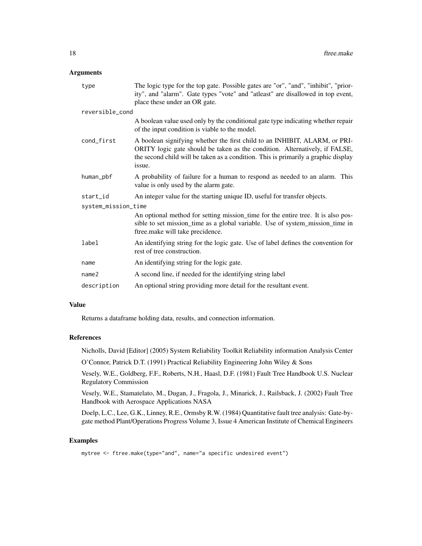#### Arguments

| type                | The logic type for the top gate. Possible gates are "or", "and", "inhibit", "prior-<br>ity", and "alarm". Gate types "vote" and "atleast" are disallowed in top event,<br>place these under an OR gate.                                                   |  |
|---------------------|-----------------------------------------------------------------------------------------------------------------------------------------------------------------------------------------------------------------------------------------------------------|--|
| reversible_cond     |                                                                                                                                                                                                                                                           |  |
|                     | A boolean value used only by the conditional gate type indicating whether repair<br>of the input condition is viable to the model.                                                                                                                        |  |
| cond_first          | A boolean signifying whether the first child to an INHIBIT, ALARM, or PRI-<br>ORITY logic gate should be taken as the condition. Alternatively, if FALSE,<br>the second child will be taken as a condition. This is primarily a graphic display<br>issue. |  |
| human_pbf           | A probability of failure for a human to respond as needed to an alarm. This<br>value is only used by the alarm gate.                                                                                                                                      |  |
| start_id            | An integer value for the starting unique ID, useful for transfer objects.                                                                                                                                                                                 |  |
| system_mission_time |                                                                                                                                                                                                                                                           |  |
|                     | An optional method for setting mission_time for the entire tree. It is also pos-<br>sible to set mission_time as a global variable. Use of system_mission_time in<br>ftree.make will take precidence.                                                     |  |
| label               | An identifying string for the logic gate. Use of label defines the convention for<br>rest of tree construction.                                                                                                                                           |  |
| name                | An identifying string for the logic gate.                                                                                                                                                                                                                 |  |
| name <sub>2</sub>   | A second line, if needed for the identifying string label                                                                                                                                                                                                 |  |
| description         | An optional string providing more detail for the resultant event.                                                                                                                                                                                         |  |

# Value

Returns a dataframe holding data, results, and connection information.

# References

Nicholls, David [Editor] (2005) System Reliability Toolkit Reliability information Analysis Center

O'Connor, Patrick D.T. (1991) Practical Reliability Engineering John Wiley & Sons

Vesely, W.E., Goldberg, F.F., Roberts, N.H., Haasl, D.F. (1981) Fault Tree Handbook U.S. Nuclear Regulatory Commission

Vesely, W.E., Stamatelato, M., Dugan, J., Fragola, J., Minarick, J., Railsback, J. (2002) Fault Tree Handbook with Aerospace Applications NASA

Doelp, L.C., Lee, G.K., Linney, R.E., Ormsby R.W. (1984) Quantitative fault tree analysis: Gate-bygate method Plant/Operations Progress Volume 3, Issue 4 American Institute of Chemical Engineers

# Examples

mytree <- ftree.make(type="and", name="a specific undesired event")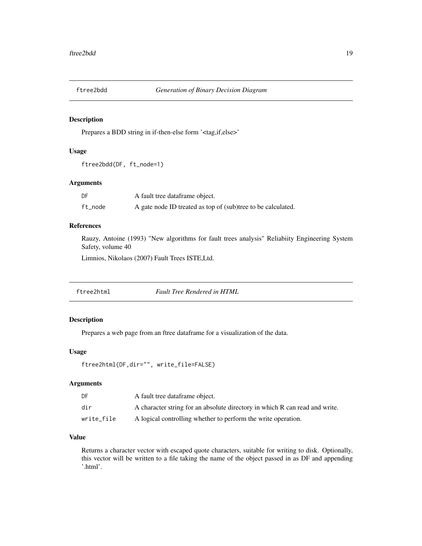<span id="page-18-0"></span>

# Description

Prepares a BDD string in if-then-else form '<tag,if,else>'

# Usage

```
ftree2bdd(DF, ft_node=1)
```
# Arguments

| DF      | A fault tree dataframe object.                               |
|---------|--------------------------------------------------------------|
| ft_node | A gate node ID treated as top of (sub)tree to be calculated. |

#### References

Rauzy, Antoine (1993) "New algorithms for fault trees analysis" Reliabiity Engineering System Safety, volume 40

Limnios, Nikolaos (2007) Fault Trees ISTE,Ltd.

ftree2html *Fault Tree Rendered in HTML*

# Description

Prepares a web page from an ftree dataframe for a visualization of the data.

# Usage

```
ftree2html(DF,dir="", write_file=FALSE)
```
# Arguments

| DF         | A fault tree dataframe object.                                              |
|------------|-----------------------------------------------------------------------------|
| dir        | A character string for an absolute directory in which R can read and write. |
| write file | A logical controlling whether to perform the write operation.               |

# Value

Returns a character vector with escaped quote characters, suitable for writing to disk. Optionally, this vector will be written to a file taking the name of the object passed in as DF and appending '.html'.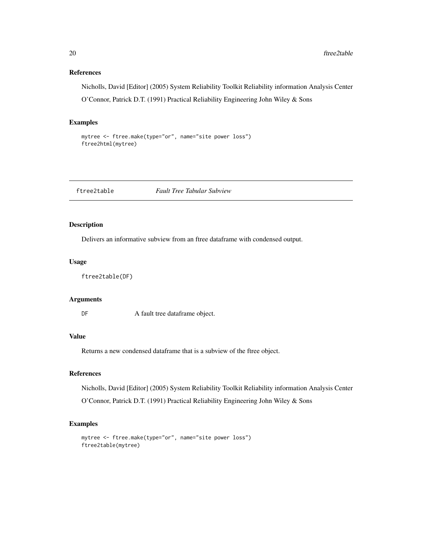# References

Nicholls, David [Editor] (2005) System Reliability Toolkit Reliability information Analysis Center O'Connor, Patrick D.T. (1991) Practical Reliability Engineering John Wiley & Sons

# Examples

```
mytree <- ftree.make(type="or", name="site power loss")
ftree2html(mytree)
```
ftree2table *Fault Tree Tabular Subview*

# Description

Delivers an informative subview from an ftree dataframe with condensed output.

#### Usage

ftree2table(DF)

# Arguments

DF A fault tree dataframe object.

#### Value

Returns a new condensed dataframe that is a subview of the ftree object.

# References

Nicholls, David [Editor] (2005) System Reliability Toolkit Reliability information Analysis Center

O'Connor, Patrick D.T. (1991) Practical Reliability Engineering John Wiley & Sons

#### Examples

```
mytree <- ftree.make(type="or", name="site power loss")
ftree2table(mytree)
```
<span id="page-19-0"></span>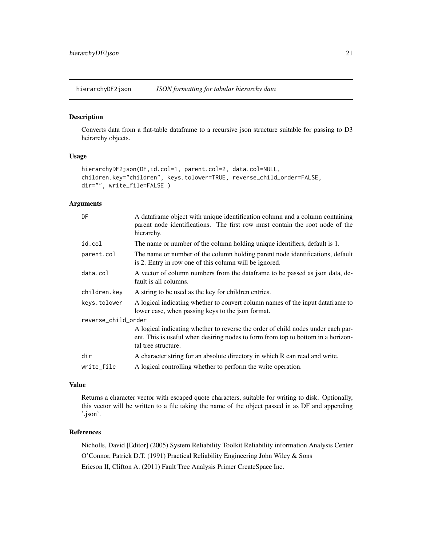<span id="page-20-0"></span>hierarchyDF2json *JSON formatting for tabular hierarchy data*

# Description

Converts data from a flat-table dataframe to a recursive json structure suitable for passing to D3 heirarchy objects.

#### Usage

```
hierarchyDF2json(DF,id.col=1, parent.col=2, data.col=NULL,
children.key="children", keys.tolower=TRUE, reverse_child_order=FALSE,
dir="", write_file=FALSE )
```
# Arguments

| DF                  | A dataframe object with unique identification column and a column containing<br>parent node identifications. The first row must contain the root node of the<br>hierarchy.                  |  |
|---------------------|---------------------------------------------------------------------------------------------------------------------------------------------------------------------------------------------|--|
| id.col              | The name or number of the column holding unique identifiers, default is 1.                                                                                                                  |  |
| parent.col          | The name or number of the column holding parent node identifications, default<br>is 2. Entry in row one of this column will be ignored.                                                     |  |
| data.col            | A vector of column numbers from the dataframe to be passed as json data, de-<br>fault is all columns.                                                                                       |  |
| children.key        | A string to be used as the key for children entries.                                                                                                                                        |  |
| keys.tolower        | A logical indicating whether to convert column names of the input data frame to<br>lower case, when passing keys to the json format.                                                        |  |
| reverse_child_order |                                                                                                                                                                                             |  |
|                     | A logical indicating whether to reverse the order of child nodes under each par-<br>ent. This is useful when desiring nodes to form from top to bottom in a horizon-<br>tal tree structure. |  |
| dir                 | A character string for an absolute directory in which R can read and write.                                                                                                                 |  |
| write_file          | A logical controlling whether to perform the write operation.                                                                                                                               |  |

# Value

Returns a character vector with escaped quote characters, suitable for writing to disk. Optionally, this vector will be written to a file taking the name of the object passed in as DF and appending '.json'.

# References

Nicholls, David [Editor] (2005) System Reliability Toolkit Reliability information Analysis Center O'Connor, Patrick D.T. (1991) Practical Reliability Engineering John Wiley & Sons Ericson II, Clifton A. (2011) Fault Tree Analysis Primer CreateSpace Inc.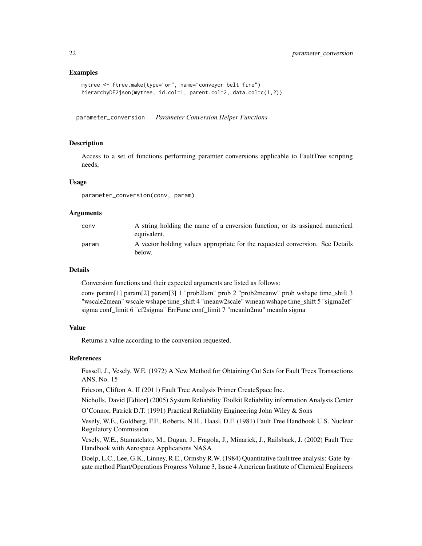```
mytree <- ftree.make(type="or", name="conveyor belt fire")
hierarchyDF2json(mytree, id.col=1, parent.col=2, data.col=c(1,2))
```
parameter\_conversion *Parameter Conversion Helper Functions*

#### Description

Access to a set of functions performing paramter conversions applicable to FaultTree scripting needs,

#### Usage

parameter\_conversion(conv, param)

#### Arguments

| conv  | A string holding the name of a cnversion function, or its assigned numerical<br>equivalent. |
|-------|---------------------------------------------------------------------------------------------|
| param | A vector holding values appropriate for the requested conversion. See Details<br>below.     |

# Details

Conversion functions and their expected arguments are listed as follows:

conv param[1] param[2] param[3] 1 "prob2lam" prob 2 "prob2meanw" prob wshape time\_shift 3 "wscale2mean" wscale wshape time\_shift 4 "meanw2scale" wmean wshape time\_shift 5 "sigma2ef" sigma conf\_limit 6 "ef2sigma" ErrFunc conf\_limit 7 "meanln2mu" meanln sigma

#### Value

Returns a value according to the conversion requested.

#### References

Fussell, J., Vesely, W.E. (1972) A New Method for Obtaining Cut Sets for Fault Trees Transactions ANS, No. 15

Ericson, Clifton A. II (2011) Fault Tree Analysis Primer CreateSpace Inc.

Nicholls, David [Editor] (2005) System Reliability Toolkit Reliability information Analysis Center

O'Connor, Patrick D.T. (1991) Practical Reliability Engineering John Wiley & Sons

Vesely, W.E., Goldberg, F.F., Roberts, N.H., Haasl, D.F. (1981) Fault Tree Handbook U.S. Nuclear Regulatory Commission

Vesely, W.E., Stamatelato, M., Dugan, J., Fragola, J., Minarick, J., Railsback, J. (2002) Fault Tree Handbook with Aerospace Applications NASA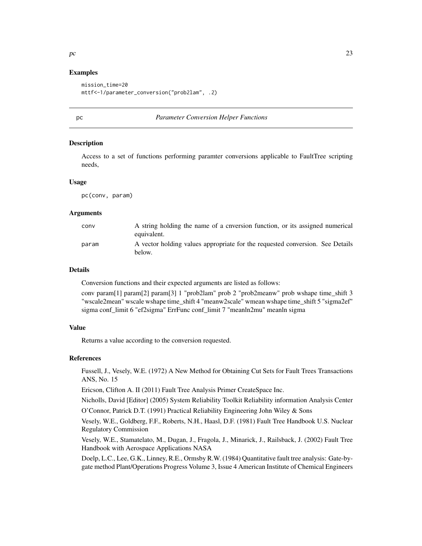```
mission_time=20
mttf<-1/parameter_conversion("prob2lam", .2)
```
#### pc *Parameter Conversion Helper Functions*

#### Description

Access to a set of functions performing paramter conversions applicable to FaultTree scripting needs,

#### Usage

pc(conv, param)

# Arguments

| conv  | A string holding the name of a cnversion function, or its assigned numerical                 |
|-------|----------------------------------------------------------------------------------------------|
|       | equivalent.<br>A vector holding values appropriate for the requested conversion. See Details |
| param | below.                                                                                       |

# Details

Conversion functions and their expected arguments are listed as follows:

conv param[1] param[2] param[3] 1 "prob2lam" prob 2 "prob2meanw" prob wshape time\_shift 3 "wscale2mean" wscale wshape time\_shift 4 "meanw2scale" wmean wshape time\_shift 5 "sigma2ef" sigma conf\_limit 6 "ef2sigma" ErrFunc conf\_limit 7 "meanln2mu" meanln sigma

#### Value

Returns a value according to the conversion requested.

#### References

Fussell, J., Vesely, W.E. (1972) A New Method for Obtaining Cut Sets for Fault Trees Transactions ANS, No. 15

Ericson, Clifton A. II (2011) Fault Tree Analysis Primer CreateSpace Inc.

Nicholls, David [Editor] (2005) System Reliability Toolkit Reliability information Analysis Center

O'Connor, Patrick D.T. (1991) Practical Reliability Engineering John Wiley & Sons

Vesely, W.E., Goldberg, F.F., Roberts, N.H., Haasl, D.F. (1981) Fault Tree Handbook U.S. Nuclear Regulatory Commission

Vesely, W.E., Stamatelato, M., Dugan, J., Fragola, J., Minarick, J., Railsback, J. (2002) Fault Tree Handbook with Aerospace Applications NASA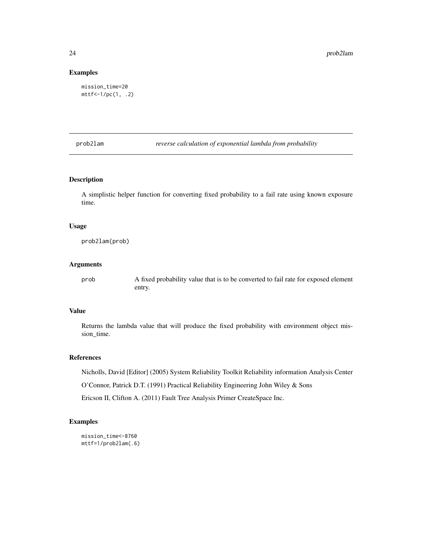```
mission_time=20
mttf<-1/pc(1, .2)
```
prob2lam *reverse calculation of exponential lambda from probability*

# Description

A simplistic helper function for converting fixed probability to a fail rate using known exposure time.

#### Usage

prob2lam(prob)

#### Arguments

prob A fixed probability value that is to be converted to fail rate for exposed element entry.

# Value

Returns the lambda value that will produce the fixed probability with environment object mission\_time.

# References

Nicholls, David [Editor] (2005) System Reliability Toolkit Reliability information Analysis Center

O'Connor, Patrick D.T. (1991) Practical Reliability Engineering John Wiley & Sons

Ericson II, Clifton A. (2011) Fault Tree Analysis Primer CreateSpace Inc.

# Examples

```
mission_time<-8760
mttf=1/prob2lam(.6)
```
<span id="page-23-0"></span>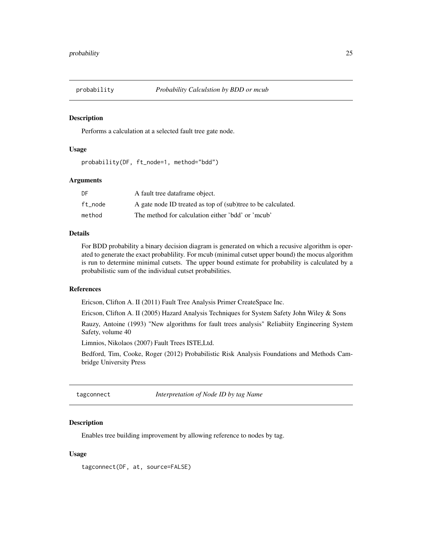<span id="page-24-0"></span>

#### Description

Performs a calculation at a selected fault tree gate node.

#### Usage

probability(DF, ft\_node=1, method="bdd")

## Arguments

| DF      | A fault tree dataframe object.                               |
|---------|--------------------------------------------------------------|
| ft node | A gate node ID treated as top of (sub)tree to be calculated. |
| method  | The method for calculation either 'bdd' or 'mcub'            |

#### Details

For BDD probability a binary decision diagram is generated on which a recusive algorithm is operated to generate the exact probablility. For mcub (minimal cutset upper bound) the mocus algorithm is run to determine minimal cutsets. The upper bound estimate for probability is calculated by a probabilistic sum of the individual cutset probabilities.

# References

Ericson, Clifton A. II (2011) Fault Tree Analysis Primer CreateSpace Inc.

Ericson, Clifton A. II (2005) Hazard Analysis Techniques for System Safety John Wiley & Sons

Rauzy, Antoine (1993) "New algorithms for fault trees analysis" Reliabiity Engineering System Safety, volume 40

Limnios, Nikolaos (2007) Fault Trees ISTE,Ltd.

Bedford, Tim, Cooke, Roger (2012) Probabilistic Risk Analysis Foundations and Methods Cambridge University Press

tagconnect *Interpretation of Node ID by tag Name*

### **Description**

Enables tree building improvement by allowing reference to nodes by tag.

#### Usage

tagconnect(DF, at, source=FALSE)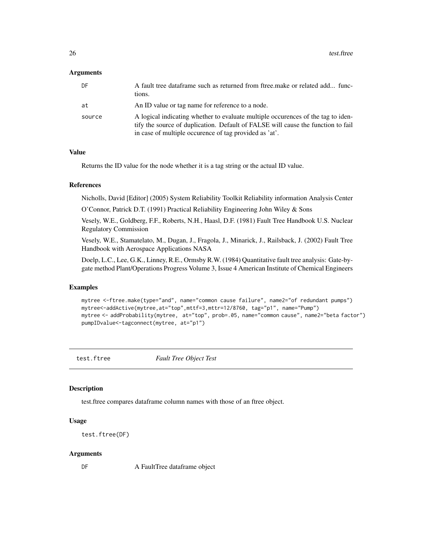# <span id="page-25-0"></span>**Arguments**

| DF     | A fault tree dataframe such as returned from ftree make or related add func-<br>tions.                                                                                                                                         |
|--------|--------------------------------------------------------------------------------------------------------------------------------------------------------------------------------------------------------------------------------|
| at     | An ID value or tag name for reference to a node.                                                                                                                                                                               |
| source | A logical indicating whether to evaluate multiple occurences of the tag to iden-<br>tify the source of duplication. Default of FALSE will cause the function to fail<br>in case of multiple occurence of tag provided as 'at'. |

# Value

Returns the ID value for the node whether it is a tag string or the actual ID value.

#### References

Nicholls, David [Editor] (2005) System Reliability Toolkit Reliability information Analysis Center

O'Connor, Patrick D.T. (1991) Practical Reliability Engineering John Wiley & Sons

Vesely, W.E., Goldberg, F.F., Roberts, N.H., Haasl, D.F. (1981) Fault Tree Handbook U.S. Nuclear Regulatory Commission

Vesely, W.E., Stamatelato, M., Dugan, J., Fragola, J., Minarick, J., Railsback, J. (2002) Fault Tree Handbook with Aerospace Applications NASA

Doelp, L.C., Lee, G.K., Linney, R.E., Ormsby R.W. (1984) Quantitative fault tree analysis: Gate-bygate method Plant/Operations Progress Volume 3, Issue 4 American Institute of Chemical Engineers

#### Examples

```
mytree <-ftree.make(type="and", name="common cause failure", name2="of redundant pumps")
mytree<-addActive(mytree,at="top",mttf=3,mttr=12/8760, tag="p1", name="Pump")
mytree <- addProbability(mytree, at="top", prob=.05, name="common cause", name2="beta factor")
pumpIDvalue<-tagconnect(mytree, at="p1")
```
test.ftree *Fault Tree Object Test*

#### Description

test.ftree compares dataframe column names with those of an ftree object.

#### Usage

```
test.ftree(DF)
```
#### Arguments

DF A FaultTree dataframe object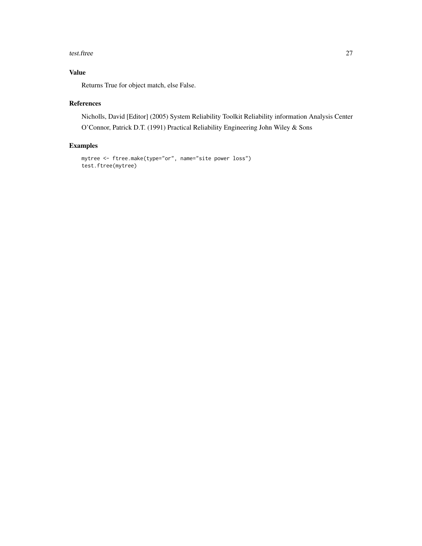#### test.ftree 27

# Value

Returns True for object match, else False.

# References

Nicholls, David [Editor] (2005) System Reliability Toolkit Reliability information Analysis Center O'Connor, Patrick D.T. (1991) Practical Reliability Engineering John Wiley & Sons

# Examples

```
mytree <- ftree.make(type="or", name="site power loss")
test.ftree(mytree)
```